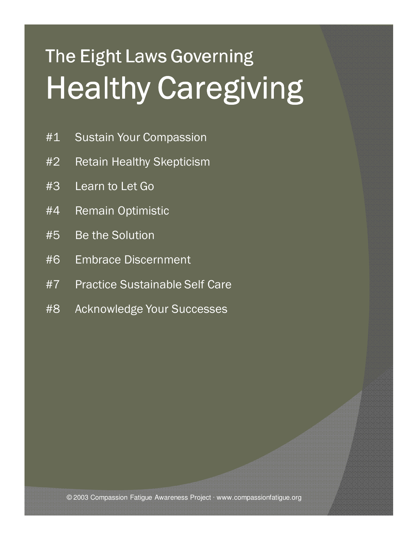## **The Eight Laws Governing** Healthy Caregiving

- #1 Sustain Your Compassion
- #2 Retain Healthy Skepticism
- #3 Learn to Let Go
- #4 Remain Optimistic
- #5 Be the Solution
- #6 Embrace Discernment
- #7 Practice Sustainable Self Care
- #8 Acknowledge Your Successes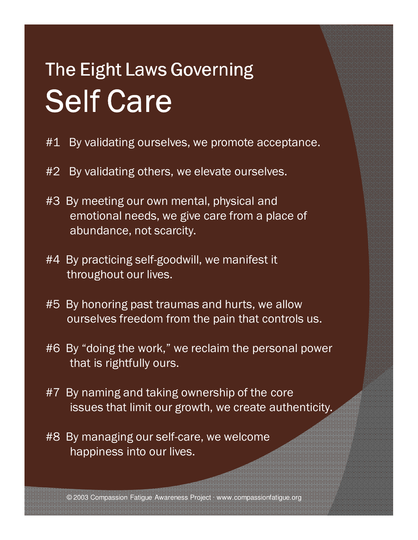## The Eight Laws Governing Self Care

- #1 By validating ourselves, we promote acceptance.
- #2 By validating others, we elevate ourselves.
- #3 By meeting our own mental, physical and emotional needs, we give care from a place of abundance, not scarcity.
- #4 By practicing self-goodwill, we manifest it throughout our lives.
- #5 By honoring past traumas and hurts, we allow ourselves freedom from the pain that controls us.
- #6 By "doing the work," we reclaim the personal power that is rightfully ours.
- #7 By naming and taking ownership of the core issues that limit our growth, we create authenticity.
- #8 By managing our self-care, we welcome happiness into our lives.

© 2003 Compassion Fatigue Awareness Project · www.compassionfatigue.org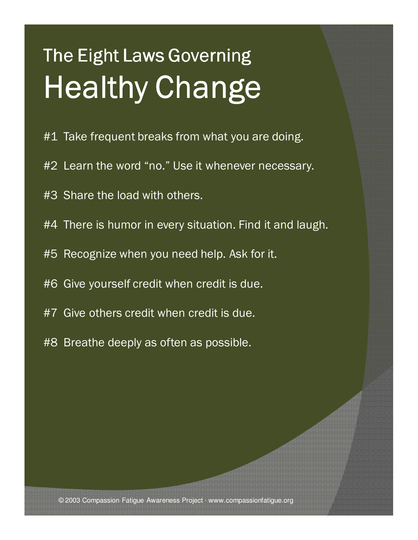## The Eight Laws Governing Healthy Change

- #1 Take frequent breaks from what you are doing.
- #2 Learn the word "no." Use it whenever necessary.
- #3 Share the load with others.
- #4 There is humor in every situation. Find it and laugh.
- #5 Recognize when you need help. Ask for it.
- #6 Give yourself credit when credit is due.
- #7 Give others credit when credit is due.
- #8 Breathe deeply as often as possible.